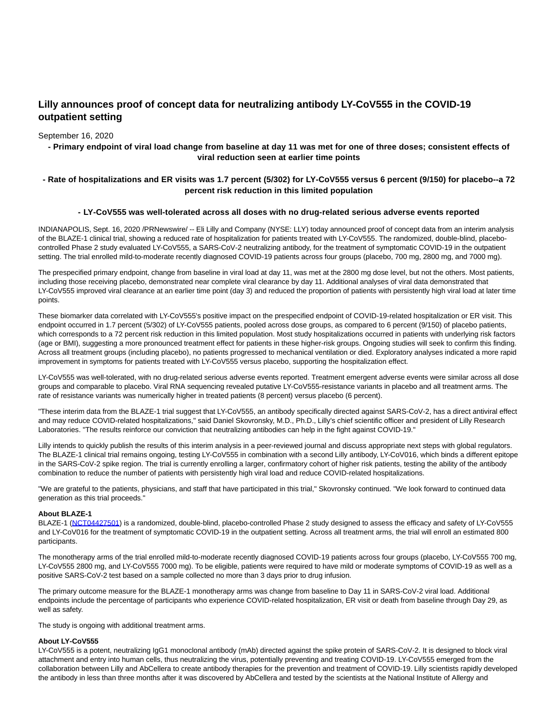# **Lilly announces proof of concept data for neutralizing antibody LY-CoV555 in the COVID-19 outpatient setting**

### September 16, 2020

# **- Primary endpoint of viral load change from baseline at day 11 was met for one of three doses; consistent effects of viral reduction seen at earlier time points**

# **- Rate of hospitalizations and ER visits was 1.7 percent (5/302) for LY-CoV555 versus 6 percent (9/150) for placebo--a 72 percent risk reduction in this limited population**

## **- LY-CoV555 was well-tolerated across all doses with no drug-related serious adverse events reported**

INDIANAPOLIS, Sept. 16, 2020 /PRNewswire/ -- Eli Lilly and Company (NYSE: LLY) today announced proof of concept data from an interim analysis of the BLAZE-1 clinical trial, showing a reduced rate of hospitalization for patients treated with LY-CoV555. The randomized, double-blind, placebocontrolled Phase 2 study evaluated LY-CoV555, a SARS-CoV-2 neutralizing antibody, for the treatment of symptomatic COVID-19 in the outpatient setting. The trial enrolled mild-to-moderate recently diagnosed COVID-19 patients across four groups (placebo, 700 mg, 2800 mg, and 7000 mg).

The prespecified primary endpoint, change from baseline in viral load at day 11, was met at the 2800 mg dose level, but not the others. Most patients, including those receiving placebo, demonstrated near complete viral clearance by day 11. Additional analyses of viral data demonstrated that LY-CoV555 improved viral clearance at an earlier time point (day 3) and reduced the proportion of patients with persistently high viral load at later time points.

These biomarker data correlated with LY-CoV555's positive impact on the prespecified endpoint of COVID-19-related hospitalization or ER visit. This endpoint occurred in 1.7 percent (5/302) of LY-CoV555 patients, pooled across dose groups, as compared to 6 percent (9/150) of placebo patients, which corresponds to a 72 percent risk reduction in this limited population. Most study hospitalizations occurred in patients with underlying risk factors (age or BMI), suggesting a more pronounced treatment effect for patients in these higher-risk groups. Ongoing studies will seek to confirm this finding. Across all treatment groups (including placebo), no patients progressed to mechanical ventilation or died. Exploratory analyses indicated a more rapid improvement in symptoms for patients treated with LY-CoV555 versus placebo, supporting the hospitalization effect.

LY-CoV555 was well-tolerated, with no drug-related serious adverse events reported. Treatment emergent adverse events were similar across all dose groups and comparable to placebo. Viral RNA sequencing revealed putative LY-CoV555-resistance variants in placebo and all treatment arms. The rate of resistance variants was numerically higher in treated patients (8 percent) versus placebo (6 percent).

"These interim data from the BLAZE-1 trial suggest that LY-CoV555, an antibody specifically directed against SARS-CoV-2, has a direct antiviral effect and may reduce COVID-related hospitalizations," said Daniel Skovronsky, M.D., Ph.D., Lilly's chief scientific officer and president of Lilly Research Laboratories. "The results reinforce our conviction that neutralizing antibodies can help in the fight against COVID-19."

Lilly intends to quickly publish the results of this interim analysis in a peer-reviewed journal and discuss appropriate next steps with global regulators. The BLAZE-1 clinical trial remains ongoing, testing LY-CoV555 in combination with a second Lilly antibody, LY-CoV016, which binds a different epitope in the SARS-CoV-2 spike region. The trial is currently enrolling a larger, confirmatory cohort of higher risk patients, testing the ability of the antibody combination to reduce the number of patients with persistently high viral load and reduce COVID-related hospitalizations.

"We are grateful to the patients, physicians, and staff that have participated in this trial," Skovronsky continued. "We look forward to continued data generation as this trial proceeds."

#### **About BLAZE-1**

BLAZE-1 [\(NCT04427501\)](https://c212.net/c/link/?t=0&l=en&o=2918589-1&h=43116224&u=https%3A%2F%2Fclinicaltrials.gov%2Fct2%2Fshow%2FNCT04427501%3Fcond%3Dly-cov555%26draw%3D2%26rank%3D2&a=NCT04427501) is a randomized, double-blind, placebo-controlled Phase 2 study designed to assess the efficacy and safety of LY-CoV555 and LY-CoV016 for the treatment of symptomatic COVID-19 in the outpatient setting. Across all treatment arms, the trial will enroll an estimated 800 participants.

The monotherapy arms of the trial enrolled mild-to-moderate recently diagnosed COVID-19 patients across four groups (placebo, LY-CoV555 700 mg, LY-CoV555 2800 mg, and LY-CoV555 7000 mg). To be eligible, patients were required to have mild or moderate symptoms of COVID-19 as well as a positive SARS-CoV-2 test based on a sample collected no more than 3 days prior to drug infusion.

The primary outcome measure for the BLAZE-1 monotherapy arms was change from baseline to Day 11 in SARS-CoV-2 viral load. Additional endpoints include the percentage of participants who experience COVID-related hospitalization, ER visit or death from baseline through Day 29, as well as safety.

The study is ongoing with additional treatment arms.

#### **About LY-CoV555**

LY-CoV555 is a potent, neutralizing IgG1 monoclonal antibody (mAb) directed against the spike protein of SARS-CoV-2. It is designed to block viral attachment and entry into human cells, thus neutralizing the virus, potentially preventing and treating COVID-19. LY-CoV555 emerged from the collaboration between Lilly and AbCellera to create antibody therapies for the prevention and treatment of COVID-19. Lilly scientists rapidly developed the antibody in less than three months after it was discovered by AbCellera and tested by the scientists at the National Institute of Allergy and